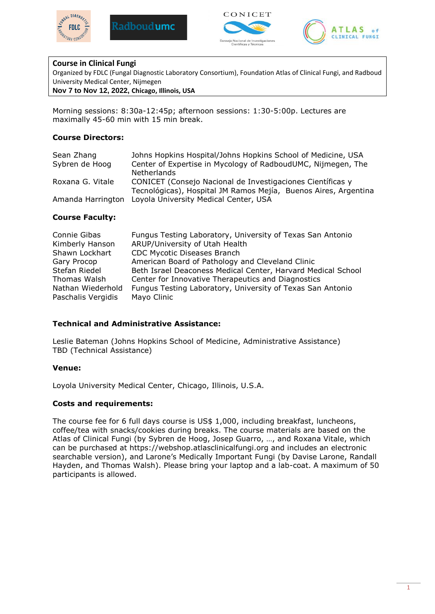







## **Course in Clinical Fungi**

Organized by FDLC (Fungal Diagnostic Laboratory Consortium), Foundation Atlas of Clinical Fungi, and Radboud University Medical Center, Nijmegen

**Nov 7 to Nov 12, 2022, Chicago, Illinois, USA**

Morning sessions: 8:30a-12:45p; afternoon sessions: 1:30-5:00p. Lectures are maximally 45-60 min with 15 min break.

### **Course Directors:**

| Sean Zhang        | Johns Hopkins Hospital/Johns Hopkins School of Medicine, USA    |
|-------------------|-----------------------------------------------------------------|
| Sybren de Hoog    | Center of Expertise in Mycology of RadboudUMC, Nijmegen, The    |
|                   | <b>Netherlands</b>                                              |
| Roxana G. Vitale  | CONICET (Consejo Nacional de Investigaciones Científicas y      |
|                   | Tecnológicas), Hospital JM Ramos Mejía, Buenos Aires, Argentina |
| Amanda Harrington | Loyola University Medical Center, USA                           |

### **Course Faculty:**

| Connie Gibas       | Fungus Testing Laboratory, University of Texas San Antonio   |
|--------------------|--------------------------------------------------------------|
| Kimberly Hanson    | ARUP/University of Utah Health                               |
| Shawn Lockhart     | <b>CDC Mycotic Diseases Branch</b>                           |
| Gary Procop        | American Board of Pathology and Cleveland Clinic             |
| Stefan Riedel      | Beth Israel Deaconess Medical Center, Harvard Medical School |
| Thomas Walsh       | Center for Innovative Therapeutics and Diagnostics           |
| Nathan Wiederhold  | Fungus Testing Laboratory, University of Texas San Antonio   |
| Paschalis Vergidis | Mayo Clinic                                                  |

## **Technical and Administrative Assistance:**

Leslie Bateman (Johns Hopkins School of Medicine, Administrative Assistance) TBD (Technical Assistance)

#### **Venue:**

Loyola University Medical Center, Chicago, Illinois, U.S.A.

#### **Costs and requirements:**

The course fee for 6 full days course is US\$ 1,000, including breakfast, luncheons, coffee/tea with snacks/cookies during breaks. The course materials are based on the Atlas of Clinical Fungi (by Sybren de Hoog, Josep Guarro, …, and Roxana Vitale, which can be purchased at https://webshop.atlasclinicalfungi.org and includes an electronic searchable version), and Larone's Medically Important Fungi (by Davise Larone, Randall Hayden, and Thomas Walsh). Please bring your laptop and a lab-coat. A maximum of 50 participants is allowed.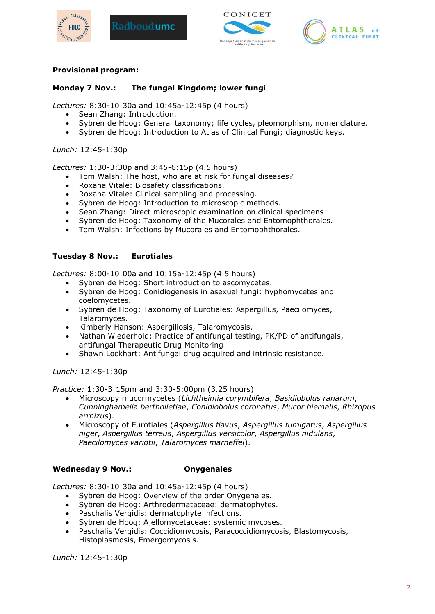







## **Provisional program:**

# **Monday 7 Nov.: The fungal Kingdom; lower fungi**

*Lectures:* 8:30-10:30a and 10:45a-12:45p (4 hours)

- Sean Zhang: Introduction.
- Sybren de Hoog: General taxonomy; life cycles, pleomorphism, nomenclature.
- Sybren de Hoog: Introduction to Atlas of Clinical Fungi; diagnostic keys.

*Lunch:* 12:45-1:30p

*Lectures:* 1:30-3:30p and 3:45-6:15p (4.5 hours)

- Tom Walsh: The host, who are at risk for fungal diseases?
- Roxana Vitale: Biosafety classifications.
- Roxana Vitale: Clinical sampling and processing.
- Sybren de Hoog: Introduction to microscopic methods.
- Sean Zhang: Direct microscopic examination on clinical specimens
- Sybren de Hoog: Taxonomy of the Mucorales and Entomophthorales.
- Tom Walsh: Infections by Mucorales and Entomophthorales.

### **Tuesday 8 Nov.: Eurotiales**

*Lectures:* 8:00-10:00a and 10:15a-12:45p (4.5 hours)

- Sybren de Hoog: Short introduction to ascomycetes.
- Sybren de Hoog: Conidiogenesis in asexual fungi: hyphomycetes and coelomycetes.
- Sybren de Hoog: Taxonomy of Eurotiales: Aspergillus, Paecilomyces, Talaromyces.
- Kimberly Hanson: Aspergillosis, Talaromycosis.
- Nathan Wiederhold: Practice of antifungal testing, PK/PD of antifungals, antifungal Therapeutic Drug Monitoring
- Shawn Lockhart: Antifungal drug acquired and intrinsic resistance.

*Lunch:* 12:45-1:30p

*Practice:* 1:30-3:15pm and 3:30-5:00pm (3.25 hours)

- Microscopy mucormycetes (*Lichtheimia corymbifera*, *Basidiobolus ranarum*, *Cunninghamella bertholletiae*, *Conidiobolus coronatus*, *Mucor hiemalis*, *Rhizopus arrhizus*).
- Microscopy of Eurotiales (*Aspergillus flavus*, *Aspergillus fumigatus*, *Aspergillus niger*, *Aspergillus terreus*, *Aspergillus versicolor*, *Aspergillus nidulans*, *Paecilomyces variotii*, *Talaromyces marneffei*).

## **Wednesday 9 Nov.: Onygenales**

*Lectures:* 8:30-10:30a and 10:45a-12:45p (4 hours)

- Sybren de Hoog: Overview of the order Onygenales.
- Sybren de Hoog: Arthrodermataceae: dermatophytes.
- Paschalis Vergidis: dermatophyte infections.
- Sybren de Hoog: Ajellomycetaceae: systemic mycoses.
- Paschalis Vergidis: Coccidiomycosis, Paracoccidiomycosis, Blastomycosis, Histoplasmosis, Emergomycosis.

*Lunch:* 12:45-1:30p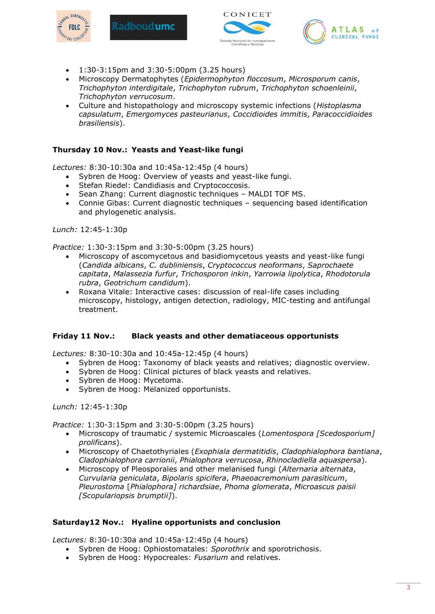





1:30-3:15pm and 3:30-5:00pm (3.25 hours)

Radboud**umc** 

- Microscopy Dermatophytes (*Epidermophyton floccosum*, *Microsporum canis*, *Trichophyton interdigitale*, *Trichophyton rubrum*, *Trichophyton schoenleinii*, *Trichophyton verrucosum*.
- Culture and histopathology and microscopy systemic infections (*Histoplasma capsulatum*, *Emergomyces pasteurianus*, *Coccidioides immitis*, *Paracoccidioides brasiliensis*).

# **Thursday 10 Nov.: Yeasts and Yeast-like fungi**

*Lectures:* 8:30-10:30a and 10:45a-12:45p (4 hours)

- Sybren de Hoog: Overview of yeasts and yeast-like fungi.
- Stefan Riedel: Candidiasis and Cryptococcosis.
- Sean Zhang: Current diagnostic techniques MALDI TOF MS.
- Connie Gibas: Current diagnostic techniques sequencing based identification and phylogenetic analysis.

*Lunch:* 12:45-1:30p

*Practice:* 1:30-3:15pm and 3:30-5:00pm (3.25 hours)

- Microscopy of ascomycetous and basidiomycetous yeasts and yeast-like fungi (*Candida albicans*, *C. dubliniensis*, *Cryptococcus neoformans*, *Saprochaete capitata*, *Malassezia furfur*, *Trichosporon inkin*, *Yarrowia lipolytica*, *Rhodotorula rubra*, *Geotrichum candidum*).
- Roxana Vitale: Interactive cases: discussion of real-life cases including microscopy, histology, antigen detection, radiology, MIC-testing and antifungal treatment.

## **Friday 11 Nov.: Black yeasts and other dematiaceous opportunists**

*Lectures:* 8:30-10:30a and 10:45a-12:45p (4 hours)

- Sybren de Hoog: Taxonomy of black yeasts and relatives; diagnostic overview.
- Sybren de Hoog: Clinical pictures of black yeasts and relatives.
- Sybren de Hoog: Mycetoma.
- Sybren de Hoog: Melanized opportunists.

*Lunch:* 12:45-1:30p

*Practice:* 1:30-3:15pm and 3:30-5:00pm (3.25 hours)

- Microscopy of traumatic / systemic Microascales (*Lomentospora [Scedosporium] prolificans*).
- Microscopy of Chaetothyriales (*Exophiala dermatitidis*, *Cladophialophora bantiana*, *Cladophialophora carrionii*, *Phialophora verrucosa*, *Rhinocladiella aquaspersa*).
- Microscopy of Pleosporales and other melanised fungi (*Alternaria alternata*, *Curvularia geniculata*, *Bipolaris spicifera*, *Phaeoacremonium parasiticum*, *Pleurostoma* [*Phialophora] richardsiae*, *Phoma glomerata*, *Microascus paisii [Scopulariopsis brumptii]*).

## **Saturday12 Nov.: Hyaline opportunists and conclusion**

*Lectures:* 8:30-10:30a and 10:45a-12:45p (4 hours)

- Sybren de Hoog: Ophiostomatales: *Sporothrix* and sporotrichosis.
- Sybren de Hoog: Hypocreales: *Fusarium* and relatives.